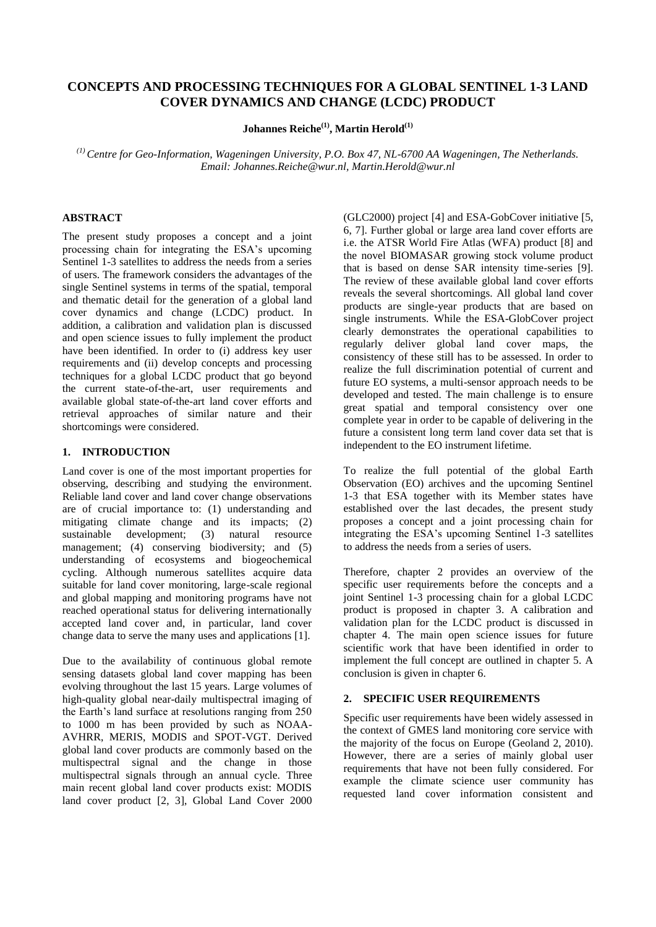# **CONCEPTS AND PROCESSING TECHNIQUES FOR A GLOBAL SENTINEL 1-3 LAND COVER DYNAMICS AND CHANGE (LCDC) PRODUCT**

**Johannes Reiche(1) , Martin Herold(1)**

*(1) Centre for Geo-Information, Wageningen University, P.O. Box 47, NL-6700 AA Wageningen, The Netherlands. Email: Johannes.Reiche@wur.nl, Martin.Herold@wur.nl*

### **ABSTRACT**

The present study proposes a concept and a joint processing chain for integrating the ESA's upcoming Sentinel 1-3 satellites to address the needs from a series of users. The framework considers the advantages of the single Sentinel systems in terms of the spatial, temporal and thematic detail for the generation of a global land cover dynamics and change (LCDC) product. In addition, a calibration and validation plan is discussed and open science issues to fully implement the product have been identified. In order to (i) address key user requirements and (ii) develop concepts and processing techniques for a global LCDC product that go beyond the current state-of-the-art, user requirements and available global state-of-the-art land cover efforts and retrieval approaches of similar nature and their shortcomings were considered.

### **1. INTRODUCTION**

Land cover is one of the most important properties for observing, describing and studying the environment. Reliable land cover and land cover change observations are of crucial importance to: (1) understanding and mitigating climate change and its impacts; (2) sustainable development; (3) natural resource management; (4) conserving biodiversity; and (5) understanding of ecosystems and biogeochemical cycling. Although numerous satellites acquire data suitable for land cover monitoring, large-scale regional and global mapping and monitoring programs have not reached operational status for delivering internationally accepted land cover and, in particular, land cover change data to serve the many uses and applications [1].

Due to the availability of continuous global remote sensing datasets global land cover mapping has been evolving throughout the last 15 years. Large volumes of high-quality global near-daily multispectral imaging of the Earth's land surface at resolutions ranging from 250 to 1000 m has been provided by such as NOAA-AVHRR, MERIS, MODIS and SPOT-VGT. Derived global land cover products are commonly based on the multispectral signal and the change in those multispectral signals through an annual cycle. Three main recent global land cover products exist: MODIS land cover product [2, 3], Global Land Cover 2000 (GLC2000) project [4] and ESA-GobCover initiative [5, 6, 7]. Further global or large area land cover efforts are i.e. the ATSR World Fire Atlas (WFA) product [8] and the novel BIOMASAR growing stock volume product that is based on dense SAR intensity time-series [9]. The review of these available global land cover efforts reveals the several shortcomings. All global land cover products are single-year products that are based on single instruments. While the ESA-GlobCover project clearly demonstrates the operational capabilities to regularly deliver global land cover maps, the consistency of these still has to be assessed. In order to realize the full discrimination potential of current and future EO systems, a multi-sensor approach needs to be developed and tested. The main challenge is to ensure great spatial and temporal consistency over one complete year in order to be capable of delivering in the future a consistent long term land cover data set that is independent to the EO instrument lifetime.

To realize the full potential of the global Earth Observation (EO) archives and the upcoming Sentinel 1-3 that ESA together with its Member states have established over the last decades, the present study proposes a concept and a joint processing chain for integrating the ESA's upcoming Sentinel 1-3 satellites to address the needs from a series of users.

Therefore, chapter 2 provides an overview of the specific user requirements before the concepts and a joint Sentinel 1-3 processing chain for a global LCDC product is proposed in chapter 3. A calibration and validation plan for the LCDC product is discussed in chapter 4. The main open science issues for future scientific work that have been identified in order to implement the full concept are outlined in chapter 5. A conclusion is given in chapter 6.

#### **2. SPECIFIC USER REQUIREMENTS**

Specific user requirements have been widely assessed in the context of GMES land monitoring core service with the majority of the focus on Europe (Geoland 2, 2010). However, there are a series of mainly global user requirements that have not been fully considered. For example the climate science user community has requested land cover information consistent and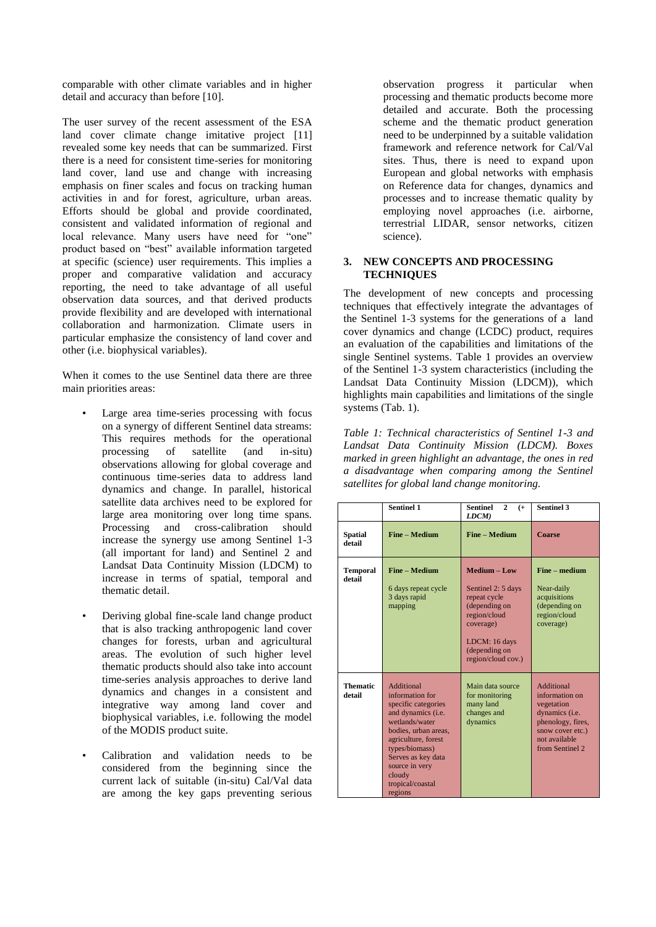comparable with other climate variables and in higher detail and accuracy than before [10].

The user survey of the recent assessment of the ESA land cover climate change imitative project [11] revealed some key needs that can be summarized. First there is a need for consistent time-series for monitoring land cover, land use and change with increasing emphasis on finer scales and focus on tracking human activities in and for forest, agriculture, urban areas. Efforts should be global and provide coordinated, consistent and validated information of regional and local relevance. Many users have need for "one" product based on "best" available information targeted at specific (science) user requirements. This implies a proper and comparative validation and accuracy reporting, the need to take advantage of all useful observation data sources, and that derived products provide flexibility and are developed with international collaboration and harmonization. Climate users in particular emphasize the consistency of land cover and other (i.e. biophysical variables).

When it comes to the use Sentinel data there are three main priorities areas:

- Large area time-series processing with focus on a synergy of different Sentinel data streams: This requires methods for the operational processing of satellite (and in-situ) processing observations allowing for global coverage and continuous time-series data to address land dynamics and change. In parallel, historical satellite data archives need to be explored for large area monitoring over long time spans. Processing and cross-calibration should increase the synergy use among Sentinel 1-3 (all important for land) and Sentinel 2 and Landsat Data Continuity Mission (LDCM) to increase in terms of spatial, temporal and thematic detail.
- Deriving global fine-scale land change product that is also tracking anthropogenic land cover changes for forests, urban and agricultural areas. The evolution of such higher level thematic products should also take into account time-series analysis approaches to derive land dynamics and changes in a consistent and integrative way among land cover and biophysical variables, i.e. following the model of the MODIS product suite.
- Calibration and validation needs to be considered from the beginning since the current lack of suitable (in-situ) Cal/Val data are among the key gaps preventing serious

observation progress it particular when processing and thematic products become more detailed and accurate. Both the processing scheme and the thematic product generation need to be underpinned by a suitable validation framework and reference network for Cal/Val sites. Thus, there is need to expand upon European and global networks with emphasis on Reference data for changes, dynamics and processes and to increase thematic quality by employing novel approaches (i.e. airborne, terrestrial LIDAR, sensor networks, citizen science).

#### **3. NEW CONCEPTS AND PROCESSING TECHNIQUES**

The development of new concepts and processing techniques that effectively integrate the advantages of the Sentinel 1-3 systems for the generations of a land cover dynamics and change (LCDC) product, requires an evaluation of the capabilities and limitations of the single Sentinel systems. Table 1 provides an overview of the Sentinel 1-3 system characteristics (including the Landsat Data Continuity Mission (LDCM)), which highlights main capabilities and limitations of the single systems (Tab. 1).

*Table 1: Technical characteristics of Sentinel 1-3 and Landsat Data Continuity Mission (LDCM). Boxes marked in green highlight an advantage, the ones in red a disadvantage when comparing among the Sentinel satellites for global land change monitoring.*

|                           | <b>Sentinel 1</b>                                                                                                                                                                                                                                     | <b>Sentinel</b><br>$\mathbf{2}$<br>$(+$<br>LDCM)                                                                                                         | <b>Sentinel 3</b>                                                                                                                                |
|---------------------------|-------------------------------------------------------------------------------------------------------------------------------------------------------------------------------------------------------------------------------------------------------|----------------------------------------------------------------------------------------------------------------------------------------------------------|--------------------------------------------------------------------------------------------------------------------------------------------------|
| <b>Spatial</b><br>detail  | Fine - Medium                                                                                                                                                                                                                                         | Fine - Medium                                                                                                                                            | <b>Coarse</b>                                                                                                                                    |
| <b>Temporal</b><br>detail | <b>Fine - Medium</b><br>6 days repeat cycle<br>3 days rapid<br>mapping                                                                                                                                                                                | Medium - Low<br>Sentinel 2: 5 days<br>repeat cycle<br>(depending on<br>region/cloud<br>coverage)<br>LDCM: 16 days<br>(depending on<br>region/cloud cov.) | Fine – medium<br>Near-daily<br>acquisitions<br>(depending on<br>region/cloud<br>coverage)                                                        |
| <b>Thematic</b><br>detail | <b>Additional</b><br>information for<br>specific categories<br>and dynamics (i.e.<br>wetlands/water<br>bodies, urban areas,<br>agriculture, forest<br>types/biomass)<br>Serves as key data<br>source in very<br>cloudy<br>tropical/coastal<br>regions | Main data source<br>for monitoring<br>many land<br>changes and<br>dynamics                                                                               | <b>Additional</b><br>information on<br>vegetation<br>dynamics (i.e.<br>phenology, fires,<br>snow cover etc.)<br>not available<br>from Sentinel 2 |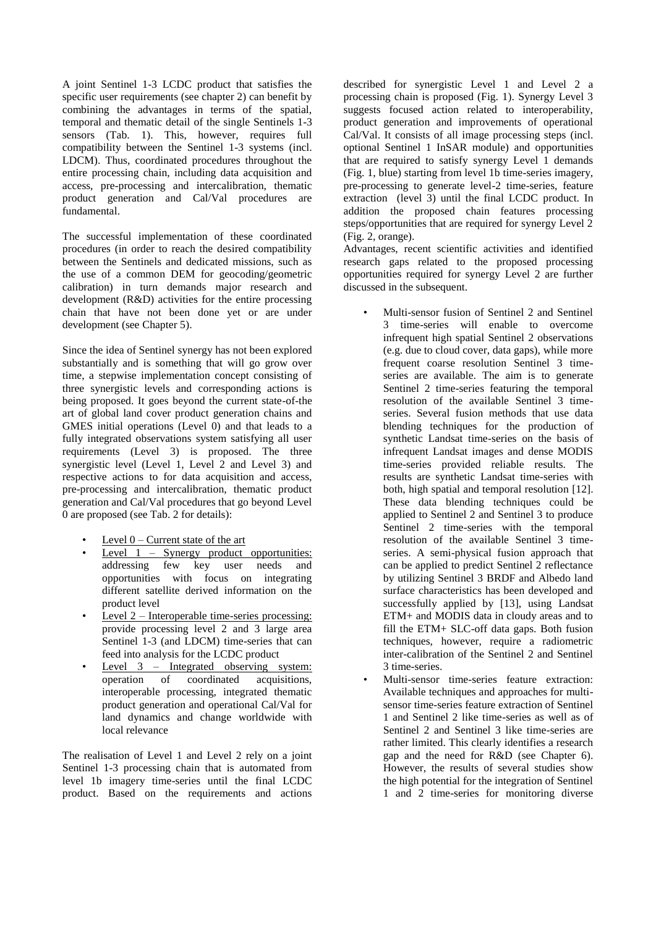A joint Sentinel 1-3 LCDC product that satisfies the specific user requirements (see chapter 2) can benefit by combining the advantages in terms of the spatial, temporal and thematic detail of the single Sentinels 1-3 sensors (Tab. 1). This, however, requires full compatibility between the Sentinel 1-3 systems (incl. LDCM). Thus, coordinated procedures throughout the entire processing chain, including data acquisition and access, pre-processing and intercalibration, thematic product generation and Cal/Val procedures are fundamental.

The successful implementation of these coordinated procedures (in order to reach the desired compatibility between the Sentinels and dedicated missions, such as the use of a common DEM for geocoding/geometric calibration) in turn demands major research and development (R&D) activities for the entire processing chain that have not been done yet or are under development (see Chapter 5).

Since the idea of Sentinel synergy has not been explored substantially and is something that will go grow over time, a stepwise implementation concept consisting of three synergistic levels and corresponding actions is being proposed. It goes beyond the current state-of-the art of global land cover product generation chains and GMES initial operations (Level 0) and that leads to a fully integrated observations system satisfying all user requirements (Level 3) is proposed. The three synergistic level (Level 1, Level 2 and Level 3) and respective actions to for data acquisition and access, pre-processing and intercalibration, thematic product generation and Cal/Val procedures that go beyond Level 0 are proposed (see Tab. 2 for details):

- Level  $0$  Current state of the art
- Level  $1$  Synergy product opportunities: addressing few key user needs and opportunities with focus on integrating different satellite derived information on the product level
- Level  $2$  Interoperable time-series processing: provide processing level 2 and 3 large area Sentinel 1-3 (and LDCM) time-series that can feed into analysis for the LCDC product
- Level 3 Integrated observing system:<br>operation of coordinated acquisitions, of coordinated acquisitions, interoperable processing, integrated thematic product generation and operational Cal/Val for land dynamics and change worldwide with local relevance

The realisation of Level 1 and Level 2 rely on a joint Sentinel 1-3 processing chain that is automated from level 1b imagery time-series until the final LCDC product. Based on the requirements and actions

described for synergistic Level 1 and Level 2 a processing chain is proposed (Fig. 1). Synergy Level 3 suggests focused action related to interoperability, product generation and improvements of operational Cal/Val. It consists of all image processing steps (incl. optional Sentinel 1 InSAR module) and opportunities that are required to satisfy synergy Level 1 demands (Fig. 1, blue) starting from level 1b time-series imagery, pre-processing to generate level-2 time-series, feature extraction (level 3) until the final LCDC product. In addition the proposed chain features processing steps/opportunities that are required for synergy Level 2 (Fig. 2, orange).

Advantages, recent scientific activities and identified research gaps related to the proposed processing opportunities required for synergy Level 2 are further discussed in the subsequent.

- Multi-sensor fusion of Sentinel 2 and Sentinel 3 time-series will enable to overcome infrequent high spatial Sentinel 2 observations (e.g. due to cloud cover, data gaps), while more frequent coarse resolution Sentinel 3 timeseries are available. The aim is to generate Sentinel 2 time-series featuring the temporal resolution of the available Sentinel 3 timeseries. Several fusion methods that use data blending techniques for the production of synthetic Landsat time-series on the basis of infrequent Landsat images and dense MODIS time-series provided reliable results. The results are synthetic Landsat time-series with both, high spatial and temporal resolution [12]. These data blending techniques could be applied to Sentinel 2 and Sentinel 3 to produce Sentinel 2 time-series with the temporal resolution of the available Sentinel 3 timeseries. A semi-physical fusion approach that can be applied to predict Sentinel 2 reflectance by utilizing Sentinel 3 BRDF and Albedo land surface characteristics has been developed and successfully applied by [13], using Landsat ETM+ and MODIS data in cloudy areas and to fill the ETM+ SLC-off data gaps. Both fusion techniques, however, require a radiometric inter-calibration of the Sentinel 2 and Sentinel 3 time-series.
- Multi-sensor time-series feature extraction: Available techniques and approaches for multisensor time-series feature extraction of Sentinel 1 and Sentinel 2 like time-series as well as of Sentinel 2 and Sentinel 3 like time-series are rather limited. This clearly identifies a research gap and the need for R&D (see Chapter 6). However, the results of several studies show the high potential for the integration of Sentinel 1 and 2 time-series for monitoring diverse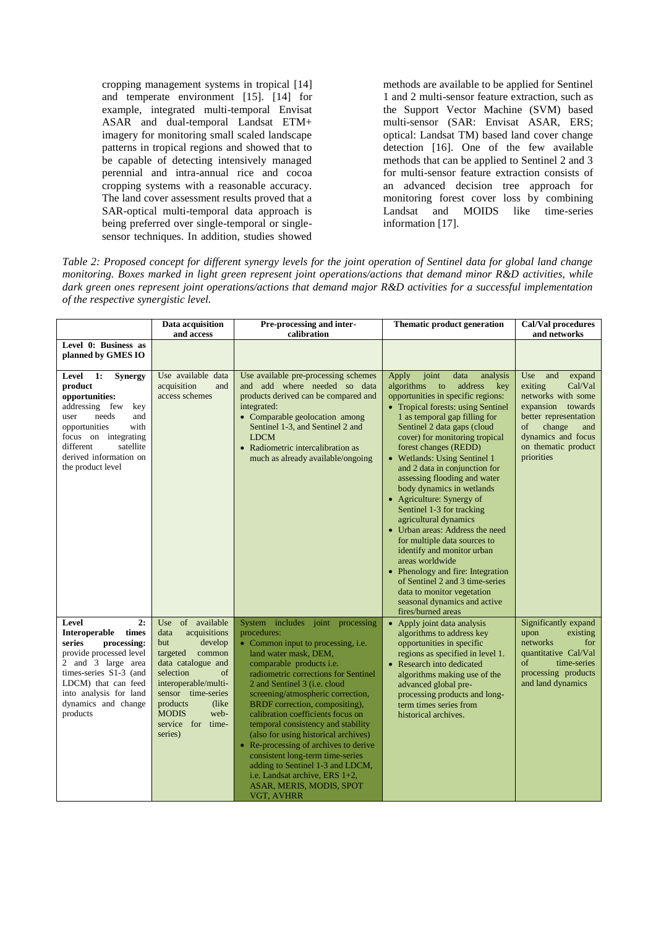cropping management systems in tropical [14] and temperate environment [15]. [14] for example, integrated multi-temporal Envisat ASAR and dual-temporal Landsat ETM+ imagery for monitoring small scaled landscape patterns in tropical regions and showed that to be capable of detecting intensively managed perennial and intra-annual rice and cocoa cropping systems with a reasonable accuracy. The land cover assessment results proved that a SAR-optical multi-temporal data approach is being preferred over single-temporal or singlesensor techniques. In addition, studies showed

methods are available to be applied for Sentinel 1 and 2 multi-sensor feature extraction, such as the Support Vector Machine (SVM) based multi-sensor (SAR: Envisat ASAR, ERS; optical: Landsat TM) based land cover change detection [16]. One of the few available methods that can be applied to Sentinel 2 and 3 for multi-sensor feature extraction consists of an advanced decision tree approach for monitoring forest cover loss by combining Landsat and MOIDS like time-series information [17].

*Table 2: Proposed concept for different synergy levels for the joint operation of Sentinel data for global land change monitoring. Boxes marked in light green represent joint operations/actions that demand minor R&D activities, while dark green ones represent joint operations/actions that demand major R&D activities for a successful implementation of the respective synergistic level.* 

|                                                                                                                                                                                                                                                   | Data acquisition<br>and access                                                                                                                                                                                                                           | Pre-processing and inter-<br>calibration                                                                                                                                                                                                                                                                                                                                                                                                                                                                                                                                                                  | <b>Thematic product generation</b>                                                                                                                                                                                                                                                                                                                                                                                                                                                                                                                                                                                                                                                                                                                                           | Cal/Val procedures<br>and networks                                                                                                                                                               |
|---------------------------------------------------------------------------------------------------------------------------------------------------------------------------------------------------------------------------------------------------|----------------------------------------------------------------------------------------------------------------------------------------------------------------------------------------------------------------------------------------------------------|-----------------------------------------------------------------------------------------------------------------------------------------------------------------------------------------------------------------------------------------------------------------------------------------------------------------------------------------------------------------------------------------------------------------------------------------------------------------------------------------------------------------------------------------------------------------------------------------------------------|------------------------------------------------------------------------------------------------------------------------------------------------------------------------------------------------------------------------------------------------------------------------------------------------------------------------------------------------------------------------------------------------------------------------------------------------------------------------------------------------------------------------------------------------------------------------------------------------------------------------------------------------------------------------------------------------------------------------------------------------------------------------------|--------------------------------------------------------------------------------------------------------------------------------------------------------------------------------------------------|
| Level 0: Business as<br>planned by GMES IO                                                                                                                                                                                                        |                                                                                                                                                                                                                                                          |                                                                                                                                                                                                                                                                                                                                                                                                                                                                                                                                                                                                           |                                                                                                                                                                                                                                                                                                                                                                                                                                                                                                                                                                                                                                                                                                                                                                              |                                                                                                                                                                                                  |
| Level<br>$\mathbf{1}$ :<br><b>Synergy</b><br>product<br>opportunities:<br>addressing few<br>key<br>needs<br>user<br>and<br>with<br>opportunities<br>focus on integrating<br>different<br>satellite<br>derived information on<br>the product level | Use available data<br>acquisition<br>and<br>access schemes                                                                                                                                                                                               | Use available pre-processing schemes<br>and add where needed so data<br>products derived can be compared and<br>integrated:<br>• Comparable geolocation among<br>Sentinel 1-3, and Sentinel 2 and<br><b>LDCM</b><br>• Radiometric intercalibration as<br>much as already available/ongoing                                                                                                                                                                                                                                                                                                                | Apply<br>joint<br>data<br>analysis<br>algorithms<br>address<br>to<br>key<br>opportunities in specific regions:<br>• Tropical forests: using Sentinel<br>1 as temporal gap filling for<br>Sentinel 2 data gaps (cloud<br>cover) for monitoring tropical<br>forest changes (REDD)<br>• Wetlands: Using Sentinel 1<br>and 2 data in conjunction for<br>assessing flooding and water<br>body dynamics in wetlands<br>• Agriculture: Synergy of<br>Sentinel 1-3 for tracking<br>agricultural dynamics<br>Urban areas: Address the need<br>for multiple data sources to<br>identify and monitor urban<br>areas worldwide<br>Phenology and fire: Integration<br>of Sentinel 2 and 3 time-series<br>data to monitor vegetation<br>seasonal dynamics and active<br>fires/burned areas | Use<br>and<br>expand<br>exiting<br>Cal/Val<br>networks with some<br>expansion towards<br>better representation<br>change<br>of<br>and<br>dynamics and focus<br>on thematic product<br>priorities |
| Level<br>2:<br>times<br><b>Interoperable</b><br>series<br>processing:<br>provide processed level<br>2 and 3 large area<br>times-series S1-3 (and<br>LDCM) that can feed<br>into analysis for land<br>dynamics and change<br>products              | of available<br>Use<br>acquisitions<br>data<br>develop<br>but<br>common<br>targeted<br>data catalogue and<br>selection<br>οf<br>interoperable/multi-<br>sensor time-series<br>products<br>(like)<br><b>MODIS</b><br>web-<br>service for time-<br>series) | System includes joint processing<br>procedures:<br>• Common input to processing, i.e.<br>land water mask, DEM,<br>comparable products i.e.<br>radiometric corrections for Sentinel<br>2 and Sentinel 3 (i.e. cloud<br>screening/atmospheric correction,<br>BRDF correction, compositing),<br>calibration coefficients focus on<br>temporal consistency and stability<br>(also for using historical archives)<br>• Re-processing of archives to derive<br>consistent long-term time-series<br>adding to Sentinel 1-3 and LDCM,<br>i.e. Landsat archive, ERS 1+2,<br>ASAR, MERIS, MODIS, SPOT<br>VGT, AVHRR | Apply joint data analysis<br>algorithms to address key<br>opportunities in specific<br>regions as specified in level 1.<br>• Research into dedicated<br>algorithms making use of the<br>advanced global pre-<br>processing products and long-<br>term times series from<br>historical archives.                                                                                                                                                                                                                                                                                                                                                                                                                                                                              | Significantly expand<br>existing<br>upon<br>networks<br>for<br>quantitative Cal/Val<br>$\sigma f$<br>time-series<br>processing products<br>and land dynamics                                     |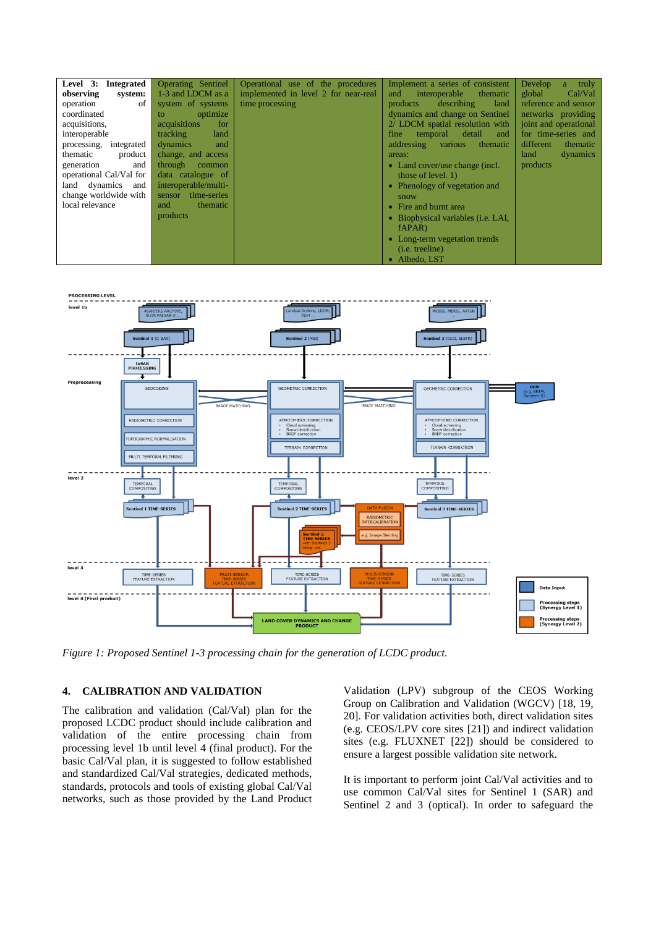| Level 3: Integrated<br>observing<br>system:<br>of<br>operation<br>coordinated<br>acquisitions,<br>interoperable<br>processing,<br>integrated<br>thematic<br>product | <b>Operating Sentinel</b><br>1-3 and LDCM as a<br>system of systems<br>optimize<br>to<br>acquisitions<br>for<br>tracking<br>land<br>dynamics<br>and<br>change, and access | Operational use of the procedures<br>implemented in level 2 for near-real<br>time processing | Implement a series of consistent<br>interoperable<br>thematic<br>and<br>describing<br>products<br>land<br>dynamics and change on Sentinel<br>2/ LDCM spatial resolution with<br>detail<br>temporal<br>and<br>fine<br>various<br>addressing<br>thematic<br>areas: | Develop<br>truly<br>a.<br>Cal/Val<br>global<br>reference and sensor<br>networks providing<br>joint and operational<br>for time-series and<br>different<br><i>thematic</i><br>land<br>dynamics |
|---------------------------------------------------------------------------------------------------------------------------------------------------------------------|---------------------------------------------------------------------------------------------------------------------------------------------------------------------------|----------------------------------------------------------------------------------------------|------------------------------------------------------------------------------------------------------------------------------------------------------------------------------------------------------------------------------------------------------------------|-----------------------------------------------------------------------------------------------------------------------------------------------------------------------------------------------|
| generation<br>and                                                                                                                                                   | through<br>common                                                                                                                                                         |                                                                                              | • Land cover/use change (incl.                                                                                                                                                                                                                                   | products                                                                                                                                                                                      |
| operational Cal/Val for<br>dynamics<br>land<br>and                                                                                                                  | data catalogue of<br>interoperable/multi-                                                                                                                                 |                                                                                              | those of level. $1)$<br>Phenology of vegetation and                                                                                                                                                                                                              |                                                                                                                                                                                               |
| change worldwide with                                                                                                                                               | time-series<br>sensor                                                                                                                                                     |                                                                                              | snow                                                                                                                                                                                                                                                             |                                                                                                                                                                                               |
| local relevance                                                                                                                                                     | and<br>thematic                                                                                                                                                           |                                                                                              | Fire and burnt area                                                                                                                                                                                                                                              |                                                                                                                                                                                               |
|                                                                                                                                                                     | products                                                                                                                                                                  |                                                                                              | • Biophysical variables (i.e. LAI,<br>fAPAR)                                                                                                                                                                                                                     |                                                                                                                                                                                               |
|                                                                                                                                                                     |                                                                                                                                                                           |                                                                                              | Long-term vegetation trends<br>۰                                                                                                                                                                                                                                 |                                                                                                                                                                                               |
|                                                                                                                                                                     |                                                                                                                                                                           |                                                                                              | ( <i>i.e.</i> treeline)                                                                                                                                                                                                                                          |                                                                                                                                                                                               |
|                                                                                                                                                                     |                                                                                                                                                                           |                                                                                              | Albedo, LST                                                                                                                                                                                                                                                      |                                                                                                                                                                                               |



*Figure 1: Proposed Sentinel 1-3 processing chain for the generation of LCDC product.*

### **4. CALIBRATION AND VALIDATION**

The calibration and validation (Cal/Val) plan for the proposed LCDC product should include calibration and validation of the entire processing chain from processing level 1b until level 4 (final product). For the basic Cal/Val plan, it is suggested to follow established and standardized Cal/Val strategies, dedicated methods, standards, protocols and tools of existing global Cal/Val networks, such as those provided by the Land Product Validation (LPV) subgroup of the CEOS Working Group on Calibration and Validation (WGCV) [18, 19, 20]. For validation activities both, direct validation sites (e.g. CEOS/LPV core sites [21]) and indirect validation sites (e.g. FLUXNET [22]) should be considered to ensure a largest possible validation site network.

It is important to perform joint Cal/Val activities and to use common Cal/Val sites for Sentinel 1 (SAR) and Sentinel 2 and 3 (optical). In order to safeguard the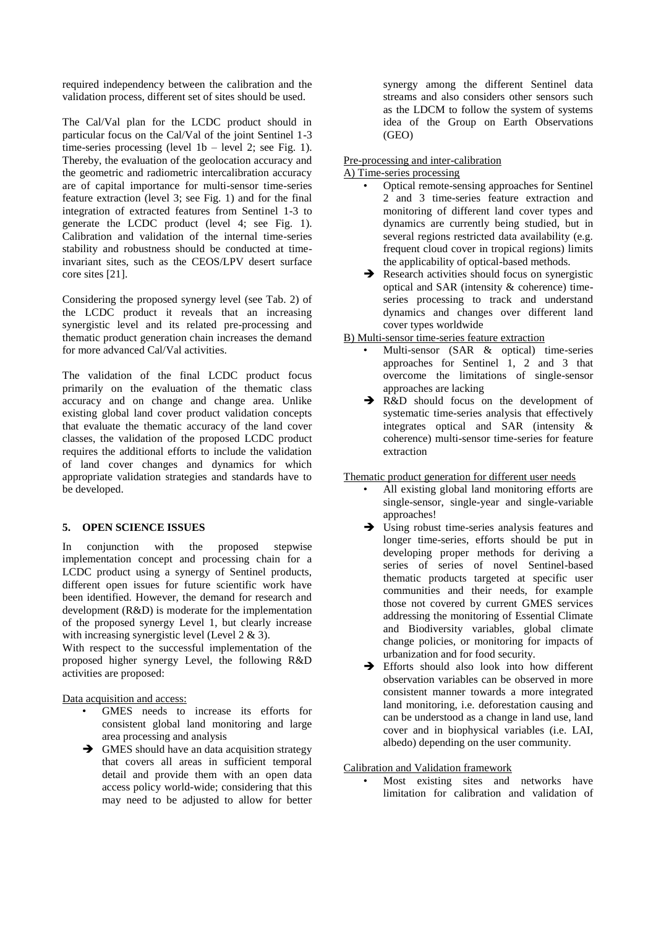required independency between the calibration and the validation process, different set of sites should be used.

The Cal/Val plan for the LCDC product should in particular focus on the Cal/Val of the joint Sentinel 1-3 time-series processing (level  $1b$  – level 2; see Fig. 1). Thereby, the evaluation of the geolocation accuracy and the geometric and radiometric intercalibration accuracy are of capital importance for multi-sensor time-series feature extraction (level 3; see Fig. 1) and for the final integration of extracted features from Sentinel 1-3 to generate the LCDC product (level 4; see Fig. 1). Calibration and validation of the internal time-series stability and robustness should be conducted at timeinvariant sites, such as the CEOS/LPV desert surface core sites [21].

Considering the proposed synergy level (see Tab. 2) of the LCDC product it reveals that an increasing synergistic level and its related pre-processing and thematic product generation chain increases the demand for more advanced Cal/Val activities.

The validation of the final LCDC product focus primarily on the evaluation of the thematic class accuracy and on change and change area. Unlike existing global land cover product validation concepts that evaluate the thematic accuracy of the land cover classes, the validation of the proposed LCDC product requires the additional efforts to include the validation of land cover changes and dynamics for which appropriate validation strategies and standards have to be developed.

#### **5. OPEN SCIENCE ISSUES**

In conjunction with the proposed stepwise implementation concept and processing chain for a LCDC product using a synergy of Sentinel products, different open issues for future scientific work have been identified. However, the demand for research and development (R&D) is moderate for the implementation of the proposed synergy Level 1, but clearly increase with increasing synergistic level (Level 2 & 3).

With respect to the successful implementation of the proposed higher synergy Level, the following R&D activities are proposed:

Data acquisition and access:

- GMES needs to increase its efforts for consistent global land monitoring and large area processing and analysis
- $\rightarrow$  GMES should have an data acquisition strategy that covers all areas in sufficient temporal detail and provide them with an open data access policy world-wide; considering that this may need to be adjusted to allow for better

synergy among the different Sentinel data streams and also considers other sensors such as the LDCM to follow the system of systems idea of the Group on Earth Observations (GEO)

### Pre-processing and inter-calibration

A) Time-series processing

- Optical remote-sensing approaches for Sentinel 2 and 3 time-series feature extraction and monitoring of different land cover types and dynamics are currently being studied, but in several regions restricted data availability (e.g. frequent cloud cover in tropical regions) limits the applicability of optical-based methods.
- $\rightarrow$  Research activities should focus on synergistic optical and SAR (intensity & coherence) timeseries processing to track and understand dynamics and changes over different land cover types worldwide

# B) Multi-sensor time-series feature extraction

- Multi-sensor (SAR & optical) time-series approaches for Sentinel 1, 2 and 3 that overcome the limitations of single-sensor approaches are lacking
- R&D should focus on the development of systematic time-series analysis that effectively integrates optical and SAR (intensity & coherence) multi-sensor time-series for feature extraction

#### Thematic product generation for different user needs

- All existing global land monitoring efforts are single-sensor, single-year and single-variable approaches!
- $\rightarrow$  Using robust time-series analysis features and longer time-series, efforts should be put in developing proper methods for deriving a series of series of novel Sentinel-based thematic products targeted at specific user communities and their needs, for example those not covered by current GMES services addressing the monitoring of Essential Climate and Biodiversity variables, global climate change policies, or monitoring for impacts of urbanization and for food security.
- Efforts should also look into how different observation variables can be observed in more consistent manner towards a more integrated land monitoring, i.e. deforestation causing and can be understood as a change in land use, land cover and in biophysical variables (i.e. LAI, albedo) depending on the user community.

### Calibration and Validation framework

Most existing sites and networks have limitation for calibration and validation of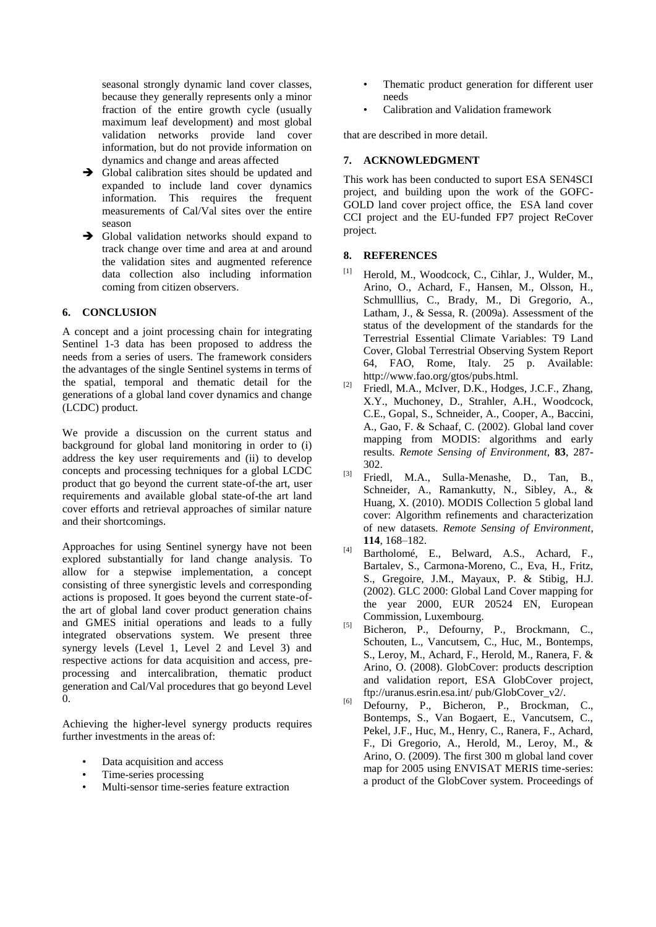seasonal strongly dynamic land cover classes, because they generally represents only a minor fraction of the entire growth cycle (usually maximum leaf development) and most global validation networks provide land cover information, but do not provide information on dynamics and change and areas affected

- $\rightarrow$  Global calibration sites should be updated and expanded to include land cover dynamics information. This requires the frequent measurements of Cal/Val sites over the entire season
- $\rightarrow$  Global validation networks should expand to track change over time and area at and around the validation sites and augmented reference data collection also including information coming from citizen observers.

### **6. CONCLUSION**

A concept and a joint processing chain for integrating Sentinel 1-3 data has been proposed to address the needs from a series of users. The framework considers the advantages of the single Sentinel systems in terms of the spatial, temporal and thematic detail for the generations of a global land cover dynamics and change (LCDC) product.

We provide a discussion on the current status and background for global land monitoring in order to (i) address the key user requirements and (ii) to develop concepts and processing techniques for a global LCDC product that go beyond the current state-of-the art, user requirements and available global state-of-the art land cover efforts and retrieval approaches of similar nature and their shortcomings.

Approaches for using Sentinel synergy have not been explored substantially for land change analysis. To allow for a stepwise implementation, a concept consisting of three synergistic levels and corresponding actions is proposed. It goes beyond the current state-ofthe art of global land cover product generation chains and GMES initial operations and leads to a fully integrated observations system. We present three synergy levels (Level 1, Level 2 and Level 3) and respective actions for data acquisition and access, preprocessing and intercalibration, thematic product generation and Cal/Val procedures that go beyond Level 0.

Achieving the higher-level synergy products requires further investments in the areas of:

- Data acquisition and access
- Time-series processing
- Multi-sensor time-series feature extraction
- Thematic product generation for different user needs
- Calibration and Validation framework

that are described in more detail.

## **7. ACKNOWLEDGMENT**

This work has been conducted to suport ESA SEN4SCI project, and building upon the work of the GOFC-GOLD land cover project office, the ESA land cover CCI project and the EU-funded FP7 project ReCover project.

### **8. REFERENCES**

- [1] Herold, M., Woodcock, C., Cihlar, J., Wulder, M., Arino, O., Achard, F., Hansen, M., Olsson, H., Schmulllius, C., Brady, M., Di Gregorio, A., Latham, J., & Sessa, R. (2009a). Assessment of the status of the development of the standards for the Terrestrial Essential Climate Variables: T9 Land Cover, Global Terrestrial Observing System Report 64, FAO, Rome, Italy. 25 p. Available: http://www.fao.org/gtos/pubs.html.
- $^{[2]}$  Friedl, M.A., McIver, D.K., Hodges, J.C.F., Zhang, X.Y., Muchoney, D., Strahler, A.H., Woodcock, C.E., Gopal, S., Schneider, A., Cooper, A., Baccini, A., Gao, F. & Schaaf, C. (2002). Global land cover mapping from MODIS: algorithms and early results. *Remote Sensing of Environment*, **83**, 287- 302.
- [3] Friedl, M.A., Sulla-Menashe, D., Tan, B., Schneider, A., Ramankutty, N., Sibley, A., & Huang, X. (2010). MODIS Collection 5 global land cover: Algorithm refinements and characterization of new datasets. *Remote Sensing of Environment*, **114**, 168–182.
- Bartholomé, E., Belward, A.S., Achard, F., Bartalev, S., Carmona-Moreno, C., Eva, H., Fritz, S., Gregoire, J.M., Mayaux, P. & Stibig, H.J. (2002). GLC 2000: Global Land Cover mapping for the year 2000, EUR 20524 EN, European Commission, Luxembourg.
- [5] Bicheron, P., Defourny, P., Brockmann, C., Schouten, L., Vancutsem, C., Huc, M., Bontemps, S., Leroy, M., Achard, F., Herold, M., Ranera, F. & Arino, O. (2008). GlobCover: products description and validation report, ESA GlobCover project, ftp://uranus.esrin.esa.int/ pub/GlobCover\_v2/.
- [6] Defourny, P., Bicheron, P., Brockman, C., Bontemps, S., Van Bogaert, E., Vancutsem, C., Pekel, J.F., Huc, M., Henry, C., Ranera, F., Achard, F., Di Gregorio, A., Herold, M., Leroy, M., & Arino, O. (2009). The first 300 m global land cover map for 2005 using ENVISAT MERIS time-series: a product of the GlobCover system. Proceedings of